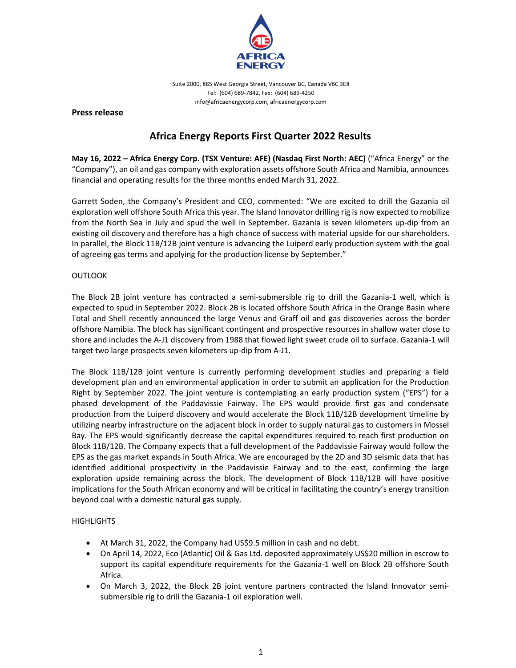

Suite 2000, 885 West Georgia Street, Vancouver BC, Canada V6C 3E8 Tel: (604) 689‐7842, Fax: (604) 689‐4250 info@africaenergycorp.com, africaenergycorp.com

**Press release**

# **Africa Energy Reports First Quarter 2022 Results**

**May 16, 2022 – Africa Energy Corp. (TSX Venture: AFE) (Nasdaq First North: AEC)** ("Africa Energy" or the "Company"), an oil and gas company with exploration assets offshore South Africa and Namibia, announces financial and operating results for the three months ended March 31, 2022.

Garrett Soden, the Company's President and CEO, commented: "We are excited to drill the Gazania oil exploration well offshore South Africa this year. The Island Innovator drilling rig is now expected to mobilize from the North Sea in July and spud the well in September. Gazania is seven kilometers up‐dip from an existing oil discovery and therefore has a high chance of success with material upside for our shareholders. In parallel, the Block 11B/12B joint venture is advancing the Luiperd early production system with the goal of agreeing gas terms and applying for the production license by September."

# **OUTLOOK**

The Block 2B joint venture has contracted a semi-submersible rig to drill the Gazania-1 well, which is expected to spud in September 2022. Block 2B is located offshore South Africa in the Orange Basin where Total and Shell recently announced the large Venus and Graff oil and gas discoveries across the border offshore Namibia. The block has significant contingent and prospective resources in shallow water close to shore and includes the A‐J1 discovery from 1988 that flowed light sweet crude oil to surface. Gazania‐1 will target two large prospects seven kilometers up‐dip from A‐J1.

The Block 11B/12B joint venture is currently performing development studies and preparing a field development plan and an environmental application in order to submit an application for the Production Right by September 2022. The joint venture is contemplating an early production system ("EPS") for a phased development of the Paddavissie Fairway. The EPS would provide first gas and condensate production from the Luiperd discovery and would accelerate the Block 11B/12B development timeline by utilizing nearby infrastructure on the adjacent block in order to supply natural gas to customers in Mossel Bay. The EPS would significantly decrease the capital expenditures required to reach first production on Block 11B/12B. The Company expects that a full development of the Paddavissie Fairway would follow the EPS as the gas market expands in South Africa. We are encouraged by the 2D and 3D seismic data that has identified additional prospectivity in the Paddavissie Fairway and to the east, confirming the large exploration upside remaining across the block. The development of Block 11B/12B will have positive implications for the South African economy and will be critical in facilitating the country's energy transition beyond coal with a domestic natural gas supply.

## **HIGHLIGHTS**

- At March 31, 2022, the Company had US\$9.5 million in cash and no debt.
- On April 14, 2022, Eco (Atlantic) Oil & Gas Ltd. deposited approximately US\$20 million in escrow to support its capital expenditure requirements for the Gazania-1 well on Block 2B offshore South Africa.
- On March 3, 2022, the Block 2B joint venture partners contracted the Island Innovator semi‐ submersible rig to drill the Gazania‐1 oil exploration well.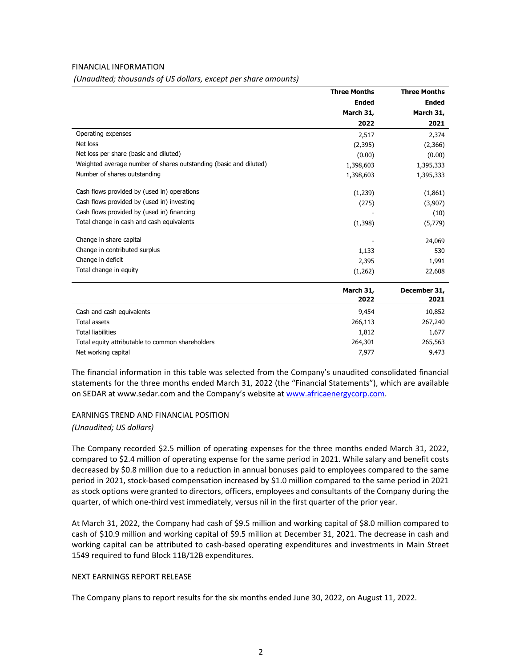### FINANCIAL INFORMATION

| formation, thousands of os donars, except per share diffusively |                     |                                                   |  |
|-----------------------------------------------------------------|---------------------|---------------------------------------------------|--|
|                                                                 | <b>Three Months</b> | <b>Three Months</b><br>Ended<br>March 31,<br>2021 |  |
|                                                                 | Ended               |                                                   |  |
|                                                                 | March 31,           |                                                   |  |
|                                                                 | 2022                |                                                   |  |
| Operating expenses                                              | 2,517               | 2,374                                             |  |
| Net loss                                                        | (2,395)             | (2,366)                                           |  |

*(Unaudited; thousands of US dollars, except per share amounts)*

| Cash and cash equivalents                                         | 9,454             | 10,852               |
|-------------------------------------------------------------------|-------------------|----------------------|
|                                                                   | March 31,<br>2022 | December 31,<br>2021 |
| Total change in equity                                            | (1,262)           | 22,608               |
| Change in deficit                                                 | 2,395             | 1,991                |
| Change in contributed surplus                                     | 1,133             | 530                  |
| Change in share capital                                           |                   | 24,069               |
| Total change in cash and cash equivalents                         | (1,398)           | (5,779)              |
| Cash flows provided by (used in) financing                        |                   | (10)                 |
| Cash flows provided by (used in) investing                        | (275)             | (3,907)              |
| Cash flows provided by (used in) operations                       | (1,239)           | (1,861)              |
| Number of shares outstanding                                      | 1,398,603         | 1,395,333            |
| Weighted average number of shares outstanding (basic and diluted) | 1,398,603         | 1,395,333            |
|                                                                   |                   |                      |

Net loss per share (basic and diluted) (0.00) (0.00) (0.00) (0.00)

| Cash and cash equivalents                        | 9,454   | 10,852  |
|--------------------------------------------------|---------|---------|
| Total assets                                     | 266,113 | 267,240 |
| <b>Total liabilities</b>                         | 1,812   | 1,677   |
| Total equity attributable to common shareholders | 264,301 | 265,563 |
| Net working capital                              | 7.977   | 9,473   |

The financial information in this table was selected from the Company's unaudited consolidated financial statements for the three months ended March 31, 2022 (the "Financial Statements"), which are available on SEDAR at www.sedar.com and the Company's website at www.africaenergycorp.com.

# EARNINGS TREND AND FINANCIAL POSITION *(Unaudited; US dollars)*

The Company recorded \$2.5 million of operating expenses for the three months ended March 31, 2022, compared to \$2.4 million of operating expense for the same period in 2021. While salary and benefit costs decreased by \$0.8 million due to a reduction in annual bonuses paid to employees compared to the same period in 2021, stock‐based compensation increased by \$1.0 million compared to the same period in 2021 as stock options were granted to directors, officers, employees and consultants of the Company during the quarter, of which one-third vest immediately, versus nil in the first quarter of the prior year.

At March 31, 2022, the Company had cash of \$9.5 million and working capital of \$8.0 million compared to cash of \$10.9 million and working capital of \$9.5 million at December 31, 2021. The decrease in cash and working capital can be attributed to cash-based operating expenditures and investments in Main Street 1549 required to fund Block 11B/12B expenditures.

### NEXT EARNINGS REPORT RELEASE

The Company plans to report results for the six months ended June 30, 2022, on August 11, 2022.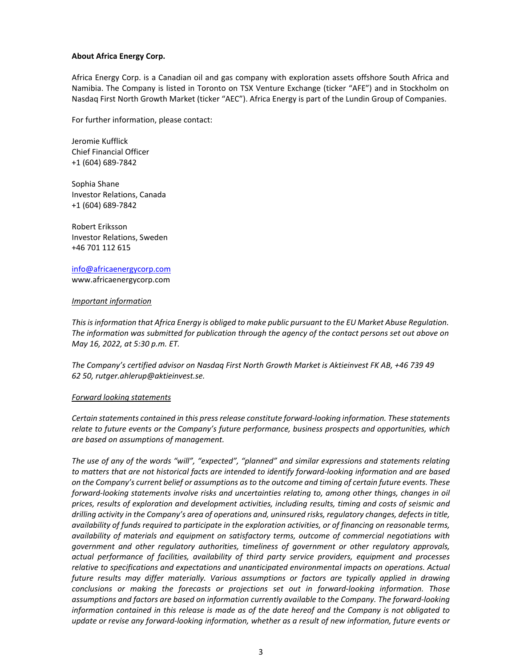### **About Africa Energy Corp.**

Africa Energy Corp. is a Canadian oil and gas company with exploration assets offshore South Africa and Namibia. The Company is listed in Toronto on TSX Venture Exchange (ticker "AFE") and in Stockholm on Nasdaq First North Growth Market (ticker "AEC"). Africa Energy is part of the Lundin Group of Companies.

For further information, please contact:

Jeromie Kufflick Chief Financial Officer +1 (604) 689‐7842

Sophia Shane Investor Relations, Canada +1 (604) 689‐7842

Robert Eriksson Investor Relations, Sweden +46 701 112 615

info@africaenergycorp.com www.africaenergycorp.com

### *Important information*

*Thisisinformation that Africa Energy is obliged to make public pursuant to the EU Market Abuse Regulation. The information was submitted for publication through the agency of the contact persons set out above on May 16, 2022, at 5:30 p.m. ET.*

*The Company's certified advisor on Nasdaq First North Growth Market is Aktieinvest FK AB, +46 739 49 62 50, rutger.ahlerup@aktieinvest.se.* 

### *Forward looking statements*

*Certain statements contained in this pressrelease constitute forward‐looking information. These statements relate to future events or the Company's future performance, business prospects and opportunities, which are based on assumptions of management.*

*The use of any of the words "will", "expected", "planned" and similar expressions and statements relating* to matters that are not historical facts are intended to identify forward-looking information and are based on the Company's current belief or assumptions as to the outcome and timing of certain future events. These *forward‐looking statements involve risks and uncertainties relating to, among other things, changes in oil prices, results of exploration and development activities, including results, timing and costs of seismic and drilling activity in the Company's area of operations and, uninsured risks, regulatory changes, defectsin title,* availability of funds required to participate in the exploration activities, or of financing on reasonable terms, *availability of materials and equipment on satisfactory terms, outcome of commercial negotiations with government and other regulatory authorities, timeliness of government or other regulatory approvals, actual performance of facilities, availability of third party service providers, equipment and processes relative to specifications and expectations and unanticipated environmental impacts on operations. Actual future results may differ materially. Various assumptions or factors are typically applied in drawing conclusions or making the forecasts or projections set out in forward‐looking information. Those assumptions and factors are based on information currently available to the Company. The forward‐looking* information contained in this release is made as of the date hereof and the Company is not obligated to update or revise any forward-looking information, whether as a result of new information, future events or